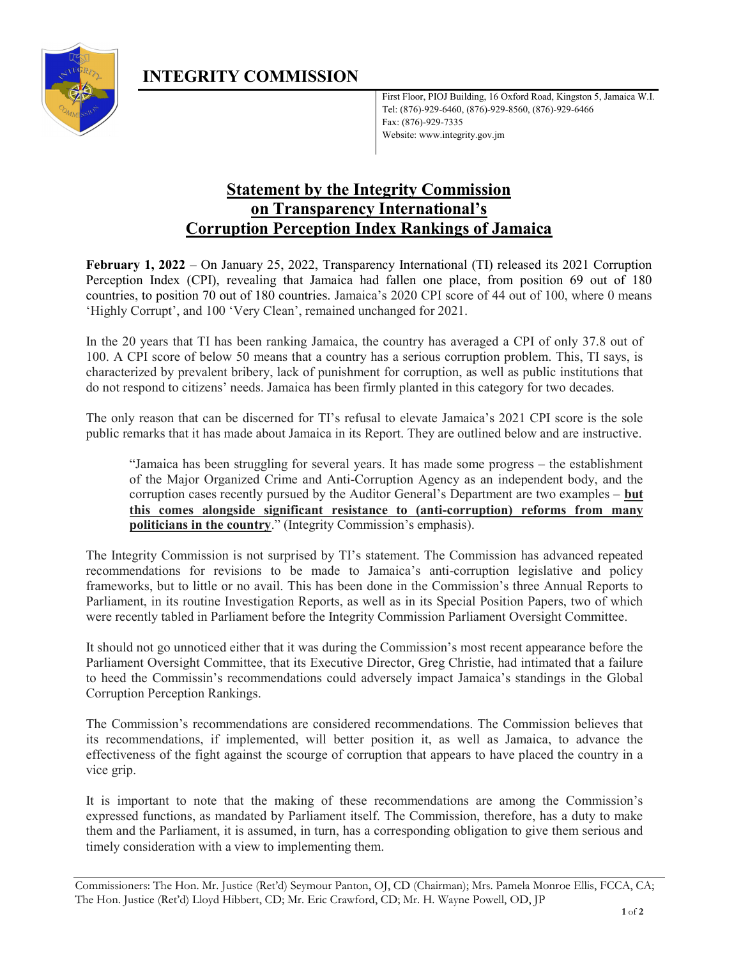

First Floor, PIOJ Building, 16 Oxford Road, Kingston 5, Jamaica W.I. Tel: (876)-929-6460, (876)-929-8560, (876)-929-6466 Fax: (876)-929-7335 Website: www.integrity.gov.jm

## Statement by the Integrity Commission on Transparency International's Corruption Perception Index Rankings of Jamaica

February 1, 2022 – On January 25, 2022, Transparency International (TI) released its 2021 Corruption Perception Index (CPI), revealing that Jamaica had fallen one place, from position 69 out of 180 countries, to position 70 out of 180 countries. Jamaica's 2020 CPI score of 44 out of 100, where 0 means 'Highly Corrupt', and 100 'Very Clean', remained unchanged for 2021.

In the 20 years that TI has been ranking Jamaica, the country has averaged a CPI of only 37.8 out of 100. A CPI score of below 50 means that a country has a serious corruption problem. This, TI says, is characterized by prevalent bribery, lack of punishment for corruption, as well as public institutions that do not respond to citizens' needs. Jamaica has been firmly planted in this category for two decades.

The only reason that can be discerned for TI's refusal to elevate Jamaica's 2021 CPI score is the sole public remarks that it has made about Jamaica in its Report. They are outlined below and are instructive.

"Jamaica has been struggling for several years. It has made some progress – the establishment of the Major Organized Crime and Anti-Corruption Agency as an independent body, and the corruption cases recently pursued by the Auditor General's Department are two examples – but this comes alongside significant resistance to (anti-corruption) reforms from many politicians in the country." (Integrity Commission's emphasis).

The Integrity Commission is not surprised by TI's statement. The Commission has advanced repeated recommendations for revisions to be made to Jamaica's anti-corruption legislative and policy frameworks, but to little or no avail. This has been done in the Commission's three Annual Reports to Parliament, in its routine Investigation Reports, as well as in its Special Position Papers, two of which were recently tabled in Parliament before the Integrity Commission Parliament Oversight Committee.

It should not go unnoticed either that it was during the Commission's most recent appearance before the Parliament Oversight Committee, that its Executive Director, Greg Christie, had intimated that a failure to heed the Commissin's recommendations could adversely impact Jamaica's standings in the Global Corruption Perception Rankings.

The Commission's recommendations are considered recommendations. The Commission believes that its recommendations, if implemented, will better position it, as well as Jamaica, to advance the effectiveness of the fight against the scourge of corruption that appears to have placed the country in a vice grip.

It is important to note that the making of these recommendations are among the Commission's expressed functions, as mandated by Parliament itself. The Commission, therefore, has a duty to make them and the Parliament, it is assumed, in turn, has a corresponding obligation to give them serious and timely consideration with a view to implementing them.

Commissioners: The Hon. Mr. Justice (Ret'd) Seymour Panton, OJ, CD (Chairman); Mrs. Pamela Monroe Ellis, FCCA, CA; The Hon. Justice (Ret'd) Lloyd Hibbert, CD; Mr. Eric Crawford, CD; Mr. H. Wayne Powell, OD, JP